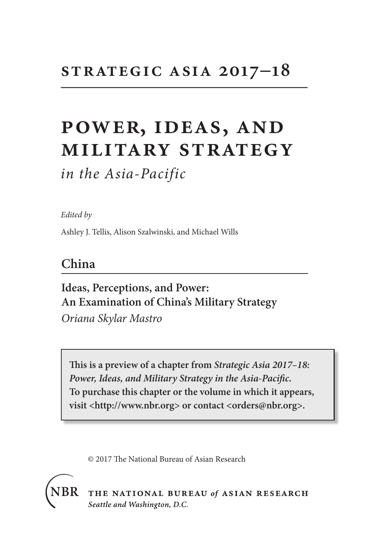# **strategic asia 2017–18**

# **power, ideas, and military strategy**

*in the Asia-Pacific*

*Edited by*

Ashley J. Tellis, Alison Szalwinski, and Michael Wills

### **China**

**Ideas, Perceptions, and Power: An Examination of China's Military Strategy** *Oriana Skylar Mastro*

**This is a preview of a chapter from** *Strategic Asia 2017–18: Power, Ideas, and Military Strategy in the Asia-Pacific***. To purchase this chapter or the volume in which it appears, visit <http://www.nbr.org> or contact <orders@nbr.org>.**

© 2017 The National Bureau of Asian Research



THE NATIONAL BUREAU of ASIAN RESEARCH Seattle and Washington, D.C.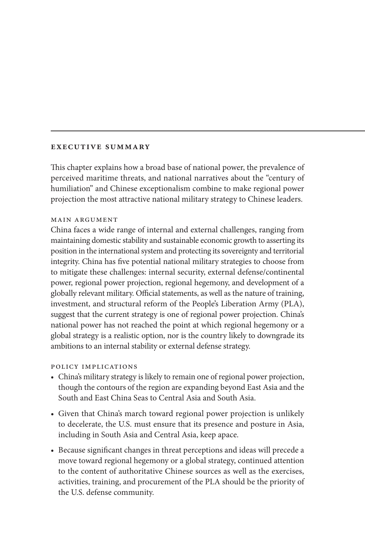#### **executive summary**

This chapter explains how a broad base of national power, the prevalence of perceived maritime threats, and national narratives about the "century of humiliation" and Chinese exceptionalism combine to make regional power projection the most attractive national military strategy to Chinese leaders.

#### main argument

China faces a wide range of internal and external challenges, ranging from maintaining domestic stability and sustainable economic growth to asserting its position in the international system and protecting its sovereignty and territorial integrity. China has five potential national military strategies to choose from to mitigate these challenges: internal security, external defense/continental power, regional power projection, regional hegemony, and development of a globally relevant military. Official statements, as well as the nature of training, investment, and structural reform of the People's Liberation Army (PLA), suggest that the current strategy is one of regional power projection. China's national power has not reached the point at which regional hegemony or a global strategy is a realistic option, nor is the country likely to downgrade its ambitions to an internal stability or external defense strategy.

#### policy implications

- China's military strategy is likely to remain one of regional power projection, though the contours of the region are expanding beyond East Asia and the South and East China Seas to Central Asia and South Asia.
- Given that China's march toward regional power projection is unlikely to decelerate, the U.S. must ensure that its presence and posture in Asia, including in South Asia and Central Asia, keep apace.
- Because significant changes in threat perceptions and ideas will precede a move toward regional hegemony or a global strategy, continued attention to the content of authoritative Chinese sources as well as the exercises, activities, training, and procurement of the PLA should be the priority of the U.S. defense community.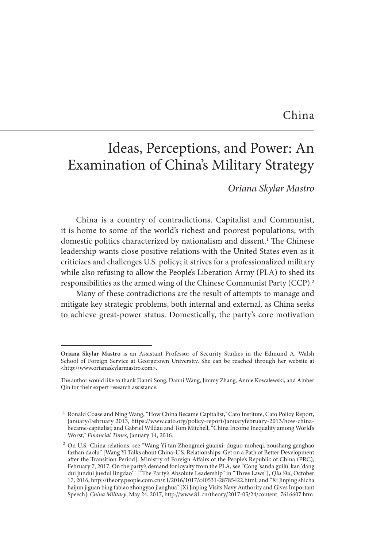### China

# Ideas, Perceptions, and Power: An Examination of China's Military Strategy

*Oriana Skylar Mastro*

China is a country of contradictions. Capitalist and Communist, it is home to some of the world's richest and poorest populations, with domestic politics characterized by nationalism and dissent.<sup>1</sup> The Chinese leadership wants close positive relations with the United States even as it criticizes and challenges U.S. policy; it strives for a professionalized military while also refusing to allow the People's Liberation Army (PLA) to shed its responsibilities as the armed wing of the Chinese Communist Party (CCP).2

Many of these contradictions are the result of attempts to manage and mitigate key strategic problems, both internal and external, as China seeks to achieve great-power status. Domestically, the party's core motivation

**Oriana Skylar Mastro** is an Assistant Professor of Security Studies in the Edmund A. Walsh School of Foreign Service at Georgetown University. She can be reached through her website at <http://www.orianaskylarmastro.com>.

The author would like to thank Danni Song, Danni Wang, Jimmy Zhang, Annie Kowalewski, and Amber Qin for their expert research assistance.

<sup>1</sup> Ronald Coase and Ning Wang, "How China Became Capitalist," Cato Institute, Cato Policy Report, January/February 2013, https://www.cato.org/policy-report/januaryfebruary-2013/how-chinabecame-capitalist; and Gabriel Wildau and Tom Mitchell, "China Income Inequality among World's Worst," *Financial Times*, January 14, 2016.

 $^2$  On U.S.-China relations, see "Wang Yi tan Zhongmei guanxi: duguo moheqi, zoushang genghao fazhan daolu" [Wang Yi Talks about China-U.S. Relationships: Get on a Path of Better Development after the Transition Period], Ministry of Foreign Affairs of the People's Republic of China (PRC), February 7, 2017. On the party's demand for loyalty from the PLA, see "Cong 'sanda guilü' kan 'dang dui jundui juedui lingdao'" ["The Party's Absolute Leadership" in "Three Laws"], *Qiu Shi*, October 17, 2016, http://theory.people.com.cn/n1/2016/1017/c40531-28785422.html; and "Xi Jinping shicha haijun jiguan bing fabiao zhongyao jianghua" [Xi Jinping Visits Navy Authority and Gives Important Speech], *China Military*, May 24, 2017, http://www.81.cn/theory/2017-05/24/content\_7616607.htm.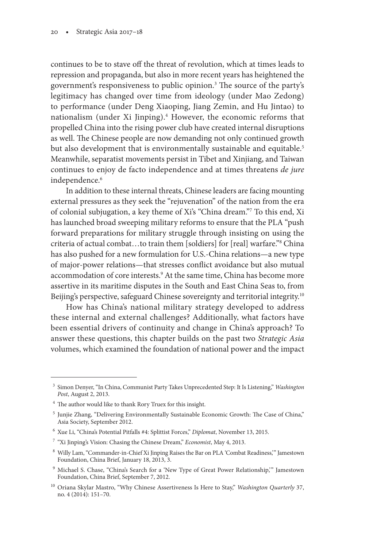continues to be to stave off the threat of revolution, which at times leads to repression and propaganda, but also in more recent years has heightened the government's responsiveness to public opinion.<sup>3</sup> The source of the party's legitimacy has changed over time from ideology (under Mao Zedong) to performance (under Deng Xiaoping, Jiang Zemin, and Hu Jintao) to nationalism (under Xi Jinping).<sup>4</sup> However, the economic reforms that propelled China into the rising power club have created internal disruptions as well. The Chinese people are now demanding not only continued growth but also development that is environmentally sustainable and equitable.<sup>5</sup> Meanwhile, separatist movements persist in Tibet and Xinjiang, and Taiwan continues to enjoy de facto independence and at times threatens *de jure* independence.<sup>6</sup>

In addition to these internal threats, Chinese leaders are facing mounting external pressures as they seek the "rejuvenation" of the nation from the era of colonial subjugation, a key theme of Xi's "China dream."7 To this end, Xi has launched broad sweeping military reforms to ensure that the PLA "push forward preparations for military struggle through insisting on using the criteria of actual combat…to train them [soldiers] for [real] warfare."8 China has also pushed for a new formulation for U.S.-China relations—a new type of major-power relations—that stresses conflict avoidance but also mutual accommodation of core interests.<sup>9</sup> At the same time, China has become more assertive in its maritime disputes in the South and East China Seas to, from Beijing's perspective, safeguard Chinese sovereignty and territorial integrity.<sup>10</sup>

How has China's national military strategy developed to address these internal and external challenges? Additionally, what factors have been essential drivers of continuity and change in China's approach? To answer these questions, this chapter builds on the past two *Strategic Asia*  volumes, which examined the foundation of national power and the impact

<sup>3</sup> Simon Denyer, "In China, Communist Party Takes Unprecedented Step: It Is Listening," *Washington Post*, August 2, 2013.

<sup>4</sup> The author would like to thank Rory Truex for this insight.

<sup>5</sup> Junjie Zhang, "Delivering Environmentally Sustainable Economic Growth: The Case of China," Asia Society, September 2012.

<sup>6</sup> Xue Li, "China's Potential Pitfalls #4: Splittist Forces," *Diplomat*, November 13, 2015.

<sup>7</sup> "Xi Jinping's Vision: Chasing the Chinese Dream," *Economist*, May 4, 2013.

<sup>8</sup> Willy Lam, "Commander-in-Chief Xi Jinping Raises the Bar on PLA 'Combat Readiness,'" Jamestown Foundation, China Brief, January 18, 2013, 3.

<sup>&</sup>lt;sup>9</sup> Michael S. Chase, "China's Search for a 'New Type of Great Power Relationship," Jamestown Foundation, China Brief, September 7, 2012.

<sup>10</sup> Oriana Skylar Mastro, "Why Chinese Assertiveness Is Here to Stay," *Washington Quarterly* 37, no. 4 (2014): 151–70.